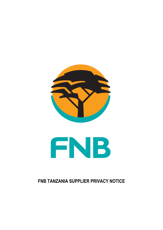



# **FNB TANZANIA SUPPLIER PRIVACY NOTICE**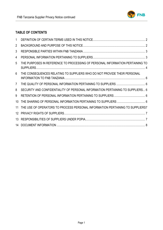

## **TABLE OF CONTENTS**

| 1              |                                                                                |  |
|----------------|--------------------------------------------------------------------------------|--|
| $\overline{2}$ |                                                                                |  |
| 3              |                                                                                |  |
| 4              |                                                                                |  |
| 5              | THE PURPOSES IN REFERENCE TO PROCESSING OF PERSONAL INFORMATION PERTAINING TO  |  |
| 6              | THE CONSEQUENCES RELATING TO SUPPLIERS WHO DO NOT PROVIDE THEIR PERSONAL       |  |
| $\overline{7}$ |                                                                                |  |
| 8              | SECURITY AND CONFIDENTIALITY OF PERSONAL INFORMATION PERTAINING TO SUPPLIERS 6 |  |
| 9              |                                                                                |  |
| 10             |                                                                                |  |
| 11             | THE USE OF OPERATORS TO PROCESS PERSONAL INFORMATION PERTAINING TO SUPPLIERS7  |  |
|                |                                                                                |  |
| 13             |                                                                                |  |
|                |                                                                                |  |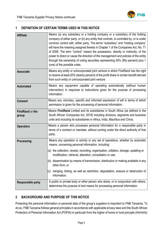

#### <span id="page-2-0"></span>**1 DEFINITION OF CERTAIN TERMS USED IN THIS NOTICE**

| <b>Affiliate</b>          | Means (a) any subsidiary or a holding company or a subsidiary of the holding<br>company of either party, or (b) any entity that controls, is controlled by, or is under<br>common control with, either party. The terms "subsidiary" and "holding company"<br>will have the meaning assigned thereto in Chapter 1 of the Companies Act, No. 71<br>of 2008. The term "control" means the possession, directly or indirectly, of the<br>power to direct or cause the direction of the management and policies of the entity<br>through the ownership of voting securities representing 50% (fifty percent) plus 1<br>(one) of the possible votes. |
|---------------------------|-------------------------------------------------------------------------------------------------------------------------------------------------------------------------------------------------------------------------------------------------------------------------------------------------------------------------------------------------------------------------------------------------------------------------------------------------------------------------------------------------------------------------------------------------------------------------------------------------------------------------------------------------|
| <b>Associate</b>          | Means any entity or unincorporated joint venture in which FirstRand has the right<br>to receive at least 20% (twenty percent) of the profit share or similar benefit derived<br>from such entity or unincorporated joint venture.                                                                                                                                                                                                                                                                                                                                                                                                               |
| <b>Automated</b>          | Means any equipment capable of operating automatically (without human<br>intervention) in response to instructions given for the purpose of processing<br>information.                                                                                                                                                                                                                                                                                                                                                                                                                                                                          |
| <b>Consent</b>            | Means any voluntary, specific and informed expression of will in terms of which<br>permission is given for the processing of personal information.                                                                                                                                                                                                                                                                                                                                                                                                                                                                                              |
| FirstRand or the<br>group | Means FirstRand Limited and its subsidiaries in South Africa (as defined in the<br>South African Companies Act, 2018) including divisions, segments and business<br>units and including its subsidiaries in Africa, India, Mauritius and China.                                                                                                                                                                                                                                                                                                                                                                                                 |
| <b>Operators</b>          | Means a person who processes personal information for a responsible party in<br>terms of a contract or mandate, without coming under the direct authority of that<br>party.                                                                                                                                                                                                                                                                                                                                                                                                                                                                     |
| <b>Processing</b>         | Means any operation or activity or any set of operations, whether by automatic<br>means, concerning personal information, including:                                                                                                                                                                                                                                                                                                                                                                                                                                                                                                            |
|                           | (a) the collection, receipt, recording, organisation, collation, storage, updating or<br>modification, retrieval, alteration, consultation or use;                                                                                                                                                                                                                                                                                                                                                                                                                                                                                              |
|                           | (b) dissemination by means of transmission, distribution or making available in any<br>other form; or                                                                                                                                                                                                                                                                                                                                                                                                                                                                                                                                           |
|                           | merging, linking, as well as restriction, degradation, erasure or destruction of<br>(C)<br>information.                                                                                                                                                                                                                                                                                                                                                                                                                                                                                                                                         |
| <b>Responsible party</b>  | A public or private body or other person who alone, or in conjunction with others,<br>determines the purpose of and means for processing personal information.                                                                                                                                                                                                                                                                                                                                                                                                                                                                                  |

## <span id="page-2-1"></span>**2 BACKGROUND AND PURPOSE OF THIS NOTICE**

Protecting the personal information or personal data of the group's suppliers is important to FNB Tanzania**.** To do so, FNB Tanzania follows general principles in accordance with applicable privacy laws and the South African Protection of Personal Information Act (POPIA) in particular from the higher of home or host principle (HoHoHo)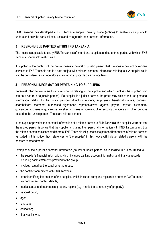

FNB Tanzania has developed a FNB Tanzania supplier privacy notice (**notice**) to enable its suppliers to understand how the bank collects, uses and safeguards their personal information.

#### <span id="page-3-0"></span>**3 RESPONSIBLE PARTIES WITHIN FNB TANZANIA**

The notice is applicable to every FNB Tanzania staff members, suppliers and other third parties with which FNB Tanzania shares information with.

A supplier in the context of the notice means a natural or juristic person that provides a product or renders services to FNB Tanzania and is a data subject with relevant personal information relating to it. A supplier could also be considered as an operator as defined in applicable data privacy laws.

#### <span id="page-3-1"></span>**4 PERSONAL INFORMATION PERTAINING TO SUPPLIERS**

**Personal information** refers to any information relating to the supplier and which identifies the supplier (who can be a natural or a juristic person). If a supplier is a juristic person, the group may collect and use personal information relating to the juristic person's directors, officers, employees, beneficial owners, partners, shareholders, members, authorised signatories, representatives, agents, payers, payees, customers, guarantors, spouses of guarantors, sureties, spouses of sureties, other security providers and other persons related to the juristic person. These are related persons.

If the supplier provides the personal information of a related person to FNB Tanzania, the supplier warrants that the related person is aware that the supplier is sharing their personal information with FNB Tanzania and that the related person has consented thereto. FNB Tanzania will process the personal information of related persons as stated in this notice, thus references to "the supplier" in this notice will include related persons with the necessary amendments.

Examples of the supplier's personal information (natural or juristic person) could include, but is not limited to:

- the supplier's financial information, which includes banking account information and financial records including bank statements provided to the group;
- invoices issued by the supplier to the group;
- the contract/agreement with FNB Tanzania;
- other identifying information of the supplier, which includes company registration number, VAT number, tax number and contact details;
- marital status and matrimonial property regime (e.g. married in community of property);
- national origin;
- age;
- language;
- education;
- financial history;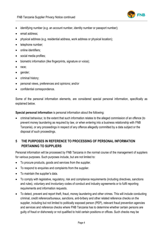

- identifying number (e.g. an account number, identity number or passport number);
- email address;
- physical address (e.g. residential address, work address or physical location);
- telephone number:
- online identifiers:
- social media profiles;
- biometric information (like fingerprints, signature or voice);
- race;
- gender;
- criminal history;
- personal views, preferences and opinions; and/or
- confidential correspondence.

Some of the personal information elements, are considered special personal information, specifically as explained below.

**Special personal information** is personal information about the following:

• criminal behaviour, to the extent that such information relates to the alleged commission of an offence (to prevent money laundering as required by law, or when entering into a business relationship with FNB Tanzania), or any proceedings in respect of any offence allegedly committed by a data subject or the disposal of such proceedings.

## <span id="page-4-0"></span>**5 THE PURPOSES IN REFERENCE TO PROCESSING OF PERSONAL INFORMATION PERTAINING TO SUPPLIERS**

Personal information will be processed by FNB Tanzania in the normal course of the management of suppliers for various purposes. Such purposes include, but are not limited to:

- To procure products, goods and services from the supplier.
- To respond to enquiries and complaints from the supplier.
- To maintain the supplier's data.
- To comply with legislative, regulatory, risk and compliance requirements (including directives, sanctions and rules), voluntary and involuntary codes of conduct and industry agreements or to fulfil reporting requirements and information requests.
- To detect, prevent and report theft, fraud, money laundering and other crimes. This will include conducting criminal, credit reference/bureaux, sanctions, anti-bribery and other related reference checks on the supplier, including but not limited to politically exposed person (PEP), relevant fraud prevention agencies and services and reference checks where FNB Tanzania has to determine whether certain persons are guilty of fraud or dishonesty or not qualified to hold certain positions or offices. Such checks may be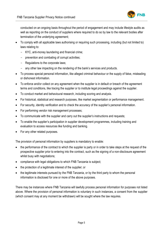

conducted on an ongoing basis throughout the period of engagement and may include lifestyle audits as well as reporting on the conduct of suppliers where required to do so by law to the relevant bodies after termination of the underlying agreement;

- To comply with all applicable laws authorising or requiring such processing, including (but not limited to) laws relating to:
	- KYC, anti-money laundering and financial crime;
	- prevention and combating of corrupt activities;
	- Regulations to the corporate laws;
	- any other law impacting on the rendering of the bank's services and products.
- To process special personal information, like alleged criminal behaviour or the supply of false, misleading or dishonest information.
- To enforce and/or collect on any agreement when the supplier is in default or breach of the agreement terms and conditions, like tracing the supplier or to institute legal proceedings against the supplier.
- To conduct market and behavioural research, including scoring and analysis.
- For historical, statistical and research purposes, like market segmentation or performance management.
- For security, identity verification and to check the accuracy of the supplier's personal information.
- For performing vendor risk management processes;
- To communicate with the supplier and carry out the supplier's instructions and requests;
- To enable the supplier's participation in supplier development programmes, including training and evaluation to access resources like funding and banking.
- For any other related purposes.

The provision of personal information by suppliers is mandatory to enable:

- the performance of the contract to which the supplier is party or in order to take steps at the request of the prospective supplier prior to entering into the contract, such as the signing of a non-disclosure agreement whilst busy with negotiations;
- compliance with legal obligations to which FNB Tanzania is subject;
- the protection of a legitimate interest of the supplier; or
- the legitimate interests pursued by the FNB Tanzania, or by the third party to whom the personal information is disclosed for one or more of the above purposes.

There may be instances where FNB Tanzania will lawfully process personal information for purposes not listed above. Where the provision of personal information is voluntary in such instances, a consent from the supplier (which consent may at any moment be withdrawn) will be sought where the law requires.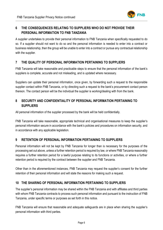

## <span id="page-6-0"></span>**6 THE CONSEQUENCES RELATING TO SUPPLIERS WHO DO NOT PROVIDE THEIR PERSONAL INFORMATION TO FNB TANZANIA**

A supplier undertakes to provide their personal information to FNB Tanzania when specifically requested to do so. If a supplier should not want to do so and the personal information is needed to enter into a contract or business relationship, then the group will be unable to enter into a contract or pursue any contractual relationship with the supplier.

#### <span id="page-6-1"></span>**7 THE QUALITY OF PERSONAL INFORMATION PERTAINING TO SUPPLIERS**

FNB Tanzania will take reasonable and practicable steps to ensure that the personal information of the bank's suppliers is complete, accurate and not misleading, and is updated where necessary.

Suppliers can update their personal information, once given, by forwarding such a request to the responsible supplier contact within FNB Tanzania, or by directing such a request to the bank's procurement contact person thereon. The contact person will be the individual the supplier is working/dealing with from the bank.

### <span id="page-6-2"></span>**8 SECURITY AND CONFIDENTIALITY OF PERSONAL INFORMATION PERTAINING TO SUPPLIERS**

All personal information of the supplier processed by the bank will be held confidentially.

FNB Tanzania will take reasonable, appropriate technical and organisational measures to keep the supplier's personal information secure in accordance with the bank's policies and procedures on information security, and in accordance with any applicable legislation.

#### <span id="page-6-3"></span>**9 RETENTION OF PERSONAL INFORMATION PERTAINING TO SUPPLIERS**

Personal information will not be kept by FNB Tanzania for longer than is necessary for the purposes of the processing set out above, unless a further retention period is required by law, or where FNB Tanzania reasonably requires a further retention period for a lawful purpose relating to its functions or activities, or where a further retention period is required by the contract between the supplier and FNB Tanzania.

Other than in the aforementioned instances, FNB Tanzania may request the supplier's consent for the further retention of their personal information and will state the reasons for making such a request.

#### <span id="page-6-4"></span>**10 THE SHARING OF PERSONAL INFORMATION PERTAINING TO SUPPLIERS**

The supplier's personal information may be shared within the FNB Tanzania and with affiliates and third parties with whom FNB Tanzania contracts to process such personal information and pursuant to the instruction of FNB Tanzania, under specific terms or purposes as set forth in this notice.

FNB Tanzania will ensure that reasonable and adequate safeguards are in place when sharing the supplier's personal information with third parties.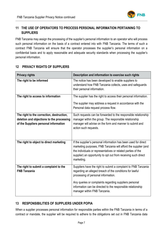

## <span id="page-7-0"></span>**11 THE USE OF OPERATORS TO PROCESS PERSONAL INFORMATION PERTAINING TO SUPPLIERS**

FNB Tanzania may assign the processing of the supplier's personal information to an operator who will process such personal information on the basis of a contract entered into with FNB Tanzania. The terms of such a contract FNB Tanzania will ensure that the operator processes the supplier's personal information on a confidential basis and to apply reasonable and adequate security standards when processing the supplier's personal information.

#### <span id="page-7-1"></span>**12 PRIVACY RIGHTS OF SUPPLIERS**

| <b>Privacy rights</b>                                                                  | Description and information to exercise such rights                                                                                                                                                                                                                               |
|----------------------------------------------------------------------------------------|-----------------------------------------------------------------------------------------------------------------------------------------------------------------------------------------------------------------------------------------------------------------------------------|
| The right to be informed                                                               | The notice has been developed to enable suppliers to<br>understand how FNB Tanzania collects, uses and safeguards<br>their personal information.                                                                                                                                  |
| The right to access to information                                                     | The supplier has the right to access their personal information.                                                                                                                                                                                                                  |
|                                                                                        | The supplier may address a request in accordance with the<br>Personal data request process flow.                                                                                                                                                                                  |
| The right to the correction, destruction,<br>deletion and objections to the processing | Such requests can be forwarded to the responsible relationship<br>manager within the group. The responsible relationship                                                                                                                                                          |
| of the Suppliers personal information                                                  | manager will advise on the form and manner to submit and<br>action such requests.                                                                                                                                                                                                 |
|                                                                                        |                                                                                                                                                                                                                                                                                   |
| The right to object to direct marketing                                                | If the supplier's personal information has been used for direct<br>marketing purposes, FNB Tanzania will afford the supplier (and<br>the individuals or representatives or related parties of the<br>supplier) an opportunity to opt out from receiving such direct<br>marketing. |
| The right to submit a complaint to the<br><b>FNB Tanzania</b>                          | Suppliers have the right to submit a complaint to FNB Tanzania<br>regarding an alleged breach of the conditions for lawful<br>processing of personal information.                                                                                                                 |
|                                                                                        | Any queries or complaints regarding suppliers personal<br>information can be directed to the responsible relationship<br>manager within FNB Tanzania.                                                                                                                             |

#### <span id="page-7-2"></span>**13 RESPONSIBILITIES OF SUPPLIERS UNDER POPIA**

When a supplier processes personal information for responsible parties within the FNB Tanzania in terms of a contract or mandate, the supplier will be required to adhere to the obligations set out in FNB Tanzania data